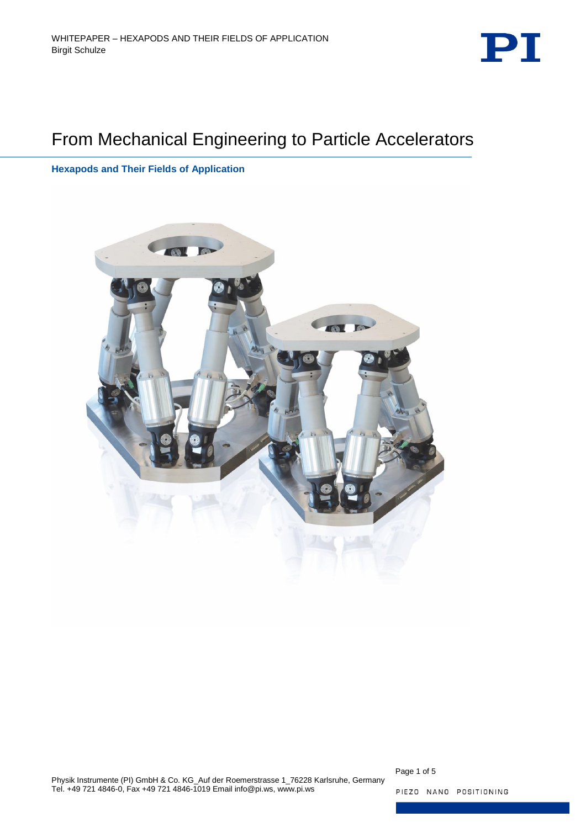

# From Mechanical Engineering to Particle Accelerators

**Hexapods and Their Fields of Application**



Page 1 of 5

PIEZO NANO POSITIONING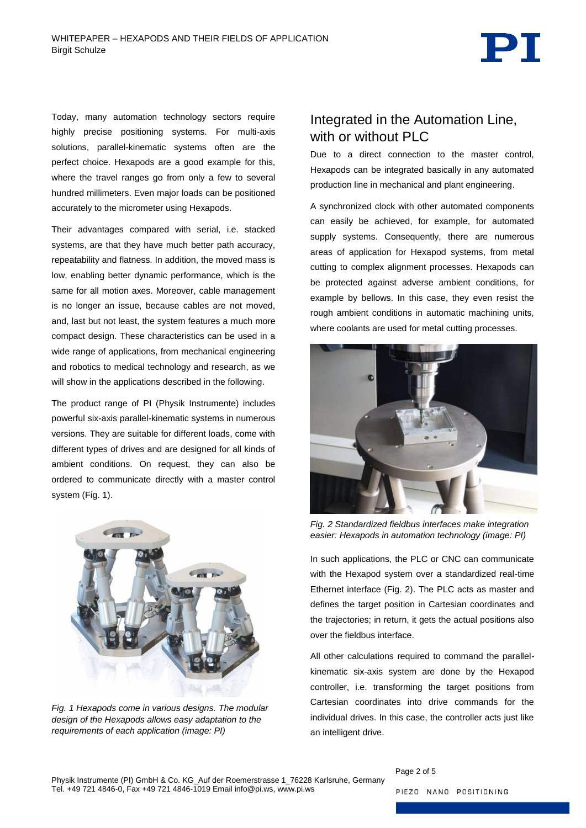PT

Today, many automation technology sectors require highly precise positioning systems. For multi-axis solutions, parallel-kinematic systems often are the perfect choice. Hexapods are a good example for this, where the travel ranges go from only a few to several hundred millimeters. Even major loads can be positioned accurately to the micrometer using Hexapods.

Their advantages compared with serial, i.e. stacked systems, are that they have much better path accuracy, repeatability and flatness. In addition, the moved mass is low, enabling better dynamic performance, which is the same for all motion axes. Moreover, cable management is no longer an issue, because cables are not moved, and, last but not least, the system features a much more compact design. These characteristics can be used in a wide range of applications, from mechanical engineering and robotics to medical technology and research, as we will show in the applications described in the following.

The product range of PI (Physik Instrumente) includes powerful six-axis parallel-kinematic systems in numerous versions. They are suitable for different loads, come with different types of drives and are designed for all kinds of ambient conditions. On request, they can also be ordered to communicate directly with a master control system [\(Fig.](#page-1-0) 1).

<span id="page-1-0"></span>

*Fig. 1 Hexapods come in various designs. The modular design of the Hexapods allows easy adaptation to the requirements of each application (image: PI)*

### Integrated in the Automation Line, with or without PLC

Due to a direct connection to the master control, Hexapods can be integrated basically in any automated production line in mechanical and plant engineering.

A synchronized clock with other automated components can easily be achieved, for example, for automated supply systems. Consequently, there are numerous areas of application for Hexapod systems, from metal cutting to complex alignment processes. Hexapods can be protected against adverse ambient conditions, for example by bellows. In this case, they even resist the rough ambient conditions in automatic machining units, where coolants are used for metal cutting processes.



*Fig. 2 Standardized fieldbus interfaces make integration easier: Hexapods in automation technology (image: PI)*

<span id="page-1-1"></span>In such applications, the PLC or CNC can communicate with the Hexapod system over a standardized real-time Ethernet interface [\(Fig. 2\)](#page-1-1). The PLC acts as master and defines the target position in Cartesian coordinates and the trajectories; in return, it gets the actual positions also over the fieldbus interface.

All other calculations required to command the parallelkinematic six-axis system are done by the Hexapod controller, i.e. transforming the target positions from Cartesian coordinates into drive commands for the individual drives. In this case, the controller acts just like an intelligent drive.

Page 2 of 5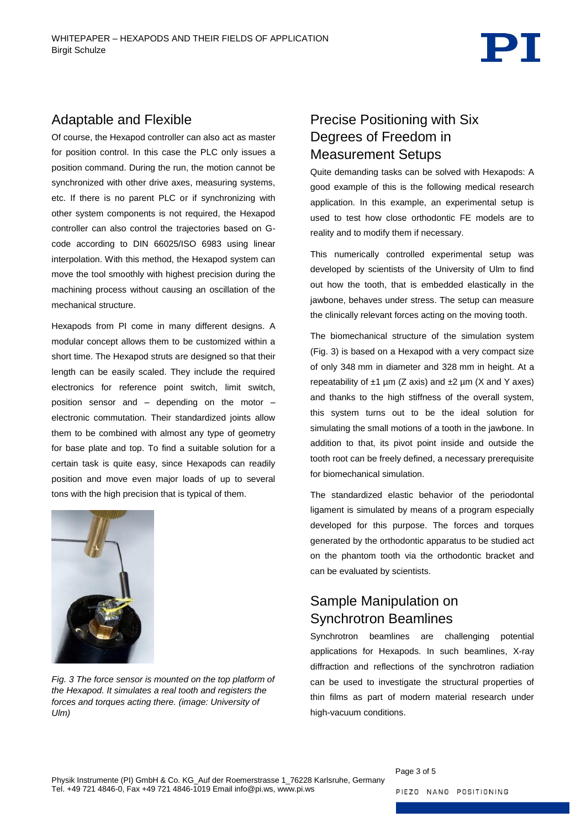

#### Adaptable and Flexible

Of course, the Hexapod controller can also act as master for position control. In this case the PLC only issues a position command. During the run, the motion cannot be synchronized with other drive axes, measuring systems, etc. If there is no parent PLC or if synchronizing with other system components is not required, the Hexapod controller can also control the trajectories based on Gcode according to DIN 66025/ISO 6983 using linear interpolation. With this method, the Hexapod system can move the tool smoothly with highest precision during the machining process without causing an oscillation of the mechanical structure.

Hexapods from PI come in many different designs. A modular concept allows them to be customized within a short time. The Hexapod struts are designed so that their length can be easily scaled. They include the required electronics for reference point switch, limit switch, position sensor and – depending on the motor – electronic commutation. Their standardized joints allow them to be combined with almost any type of geometry for base plate and top. To find a suitable solution for a certain task is quite easy, since Hexapods can readily position and move even major loads of up to several tons with the high precision that is typical of them.



<span id="page-2-0"></span>*Fig. 3 The force sensor is mounted on the top platform of the Hexapod. It simulates a real tooth and registers the forces and torques acting there. (image: University of Ulm)*

# Precise Positioning with Six Degrees of Freedom in Measurement Setups

Quite demanding tasks can be solved with Hexapods: A good example of this is the following medical research application. In this example, an experimental setup is used to test how close orthodontic FE models are to reality and to modify them if necessary.

This numerically controlled experimental setup was developed by scientists of the University of Ulm to find out how the tooth, that is embedded elastically in the jawbone, behaves under stress. The setup can measure the clinically relevant forces acting on the moving tooth.

The biomechanical structure of the simulation system [\(Fig. 3\)](#page-2-0) is based on a Hexapod with a very compact size of only 348 mm in diameter and 328 mm in height. At a repeatability of  $\pm 1$  µm (Z axis) and  $\pm 2$  µm (X and Y axes) and thanks to the high stiffness of the overall system. this system turns out to be the ideal solution for simulating the small motions of a tooth in the jawbone. In addition to that, its pivot point inside and outside the tooth root can be freely defined, a necessary prerequisite for biomechanical simulation.

The standardized elastic behavior of the periodontal ligament is simulated by means of a program especially developed for this purpose. The forces and torques generated by the orthodontic apparatus to be studied act on the phantom tooth via the orthodontic bracket and can be evaluated by scientists.

# Sample Manipulation on Synchrotron Beamlines

Synchrotron beamlines are challenging potential applications for Hexapods. In such beamlines, X-ray diffraction and reflections of the synchrotron radiation can be used to investigate the structural properties of thin films as part of modern material research under high-vacuum conditions.

Page 3 of 5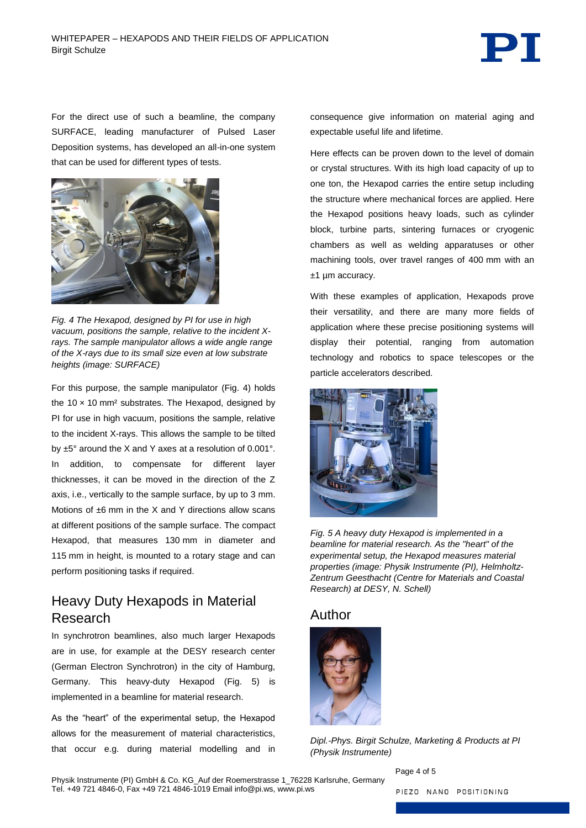

For the direct use of such a beamline, the company SURFACE, leading manufacturer of Pulsed Laser Deposition systems, has developed an all-in-one system that can be used for different types of tests.



*Fig. 4 The Hexapod, designed by PI for use in high vacuum, positions the sample, relative to the incident Xrays. The sample manipulator allows a wide angle range of the X-rays due to its small size even at low substrate heights (image: SURFACE)*

<span id="page-3-0"></span>For this purpose, the sample manipulator [\(Fig. 4\)](#page-3-0) holds the  $10 \times 10$  mm<sup>2</sup> substrates. The Hexapod, designed by PI for use in high vacuum, positions the sample, relative to the incident X-rays. This allows the sample to be tilted by ±5° around the X and Y axes at a resolution of 0.001°. In addition, to compensate for different layer thicknesses, it can be moved in the direction of the Z axis, i.e., vertically to the sample surface, by up to 3 mm. Motions of  $±6$  mm in the X and Y directions allow scans at different positions of the sample surface. The compact Hexapod, that measures 130 mm in diameter and 115 mm in height, is mounted to a rotary stage and can perform positioning tasks if required.

# Heavy Duty Hexapods in Material Research

In synchrotron beamlines, also much larger Hexapods are in use, for example at the DESY research center (German Electron Synchrotron) in the city of Hamburg, Germany. This heavy-duty Hexapod [\(Fig. 5\)](#page-3-1) is implemented in a beamline for material research.

As the "heart" of the experimental setup, the Hexapod allows for the measurement of material characteristics, that occur e.g. during material modelling and in consequence give information on material aging and expectable useful life and lifetime.

Here effects can be proven down to the level of domain or crystal structures. With its high load capacity of up to one ton, the Hexapod carries the entire setup including the structure where mechanical forces are applied. Here the Hexapod positions heavy loads, such as cylinder block, turbine parts, sintering furnaces or cryogenic chambers as well as welding apparatuses or other machining tools, over travel ranges of 400 mm with an ±1 µm accuracy.

With these examples of application, Hexapods prove their versatility, and there are many more fields of application where these precise positioning systems will display their potential, ranging from automation technology and robotics to space telescopes or the particle accelerators described.



<span id="page-3-1"></span>*Fig. 5 A heavy duty Hexapod is implemented in a beamline for material research. As the "heart" of the experimental setup, the Hexapod measures material properties (image: Physik Instrumente (PI), Helmholtz-Zentrum Geesthacht (Centre for Materials and Coastal Research) at DESY, N. Schell)*

#### Author



*Dipl.-Phys. Birgit Schulze, Marketing & Products at PI (Physik Instrumente)*

Physik Instrumente (PI) GmbH & Co. KG\_Auf der Roemerstrasse 1\_76228 Karlsruhe, Germany Tel. +49 721 4846-0, Fax +49 721 4846-1019 Email info@pi.ws, www.pi.ws

Page 4 of 5